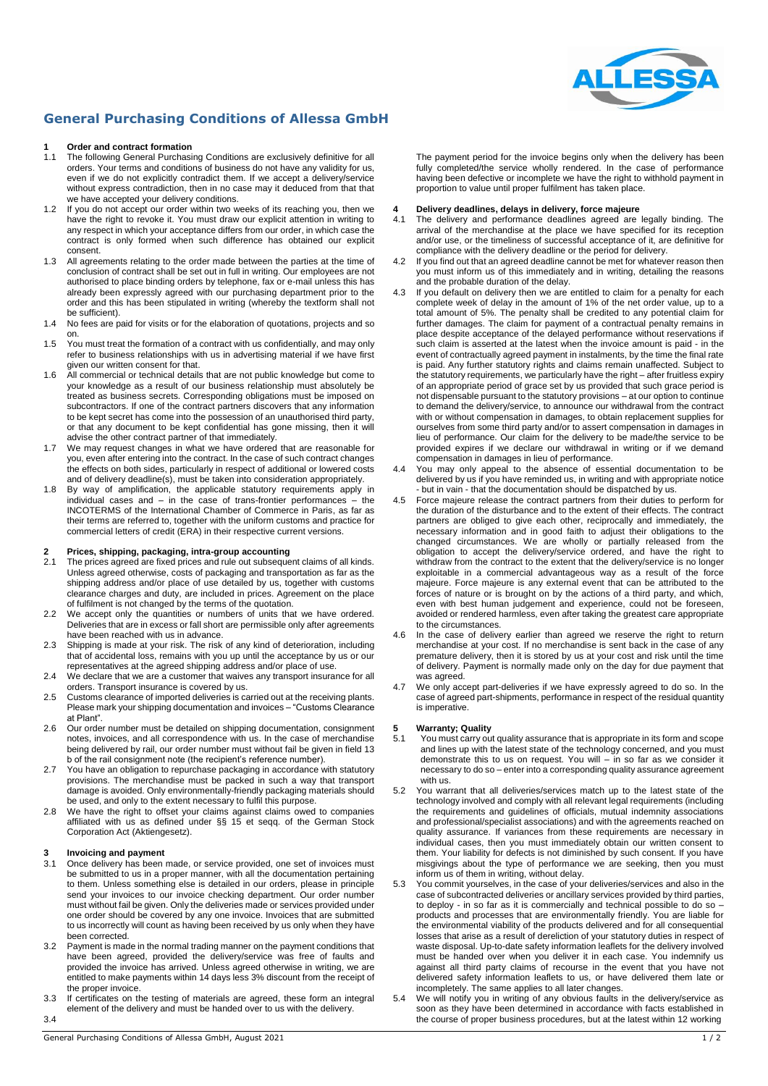

#### **General Purchasing Conditions of Allessa GmbH**

### **1 1 Order and contract formation**<br>**11** The following General Purchasi

- The following General Purchasing Conditions are exclusively definitive for all orders. Your terms and conditions of business do not have any validity for us, even if we do not explicitly contradict them. If we accept a delivery/service without express contradiction, then in no case may it deduced from that that we have accepted your delivery conditions.
- 1.2 If you do not accept our order within two weeks of its reaching you, then we have the right to revoke it. You must draw our explicit attention in writing to any respect in which your acceptance differs from our order, in which case the contract is only formed when such difference has obtained our explicit consent.
- 1.3 All agreements relating to the order made between the parties at the time of conclusion of contract shall be set out in full in writing. Our employees are not authorised to place binding orders by telephone, fax or e-mail unless this has already been expressly agreed with our purchasing department prior to the order and this has been stipulated in writing (whereby the textform shall not be sufficient).
- 1.4 No fees are paid for visits or for the elaboration of quotations, projects and so on.
- 1.5 You must treat the formation of a contract with us confidentially, and may only refer to business relationships with us in advertising material if we have first given our written consent for that.
- 1.6 All commercial or technical details that are not public knowledge but come to your knowledge as a result of our business relationship must absolutely be treated as business secrets. Corresponding obligations must be imposed on subcontractors. If one of the contract partners discovers that any information to be kept secret has come into the possession of an unauthorised third party, or that any document to be kept confidential has gone missing, then it will advise the other contract partner of that immediately.
- 1.7 We may request changes in what we have ordered that are reasonable for you, even after entering into the contract. In the case of such contract changes the effects on both sides, particularly in respect of additional or lowered costs and of delivery deadline(s), must be taken into consideration appropriately.
- 1.8 By way of amplification, the applicable statutory requirements apply in individual cases and – in the case of trans-frontier performances – the INCOTERMS of the International Chamber of Commerce in Paris, as far as their terms are referred to, together with the uniform customs and practice for commercial letters of credit (ERA) in their respective current versions.

### **2 Prices, shipping, packaging, intra-group accounting**

- The prices agreed are fixed prices and rule out subsequent claims of all kinds. Unless agreed otherwise, costs of packaging and transportation as far as the shipping address and/or place of use detailed by us, together with customs clearance charges and duty, are included in prices. Agreement on the place of fulfilment is not changed by the terms of the quotation.
- 2.2 We accept only the quantities or numbers of units that we have ordered. Deliveries that are in excess or fall short are permissible only after agreements have been reached with us in advance.
- 2.3 Shipping is made at your risk. The risk of any kind of deterioration, including that of accidental loss, remains with you up until the acceptance by us or our representatives at the agreed shipping address and/or place of use.
- 2.4 We declare that we are a customer that waives any transport insurance for all orders. Transport insurance is covered by us.
- 2.5 Customs clearance of imported deliveries is carried out at the receiving plants. Please mark your shipping documentation and invoices – "Customs Clearance at Plant".
- 2.6 Our order number must be detailed on shipping documentation, consignment notes, invoices, and all correspondence with us. In the case of merchandise being delivered by rail, our order number must without fail be given in field 13 b of the rail consignment note (the recipient's reference number).
- 2.7 You have an obligation to repurchase packaging in accordance with statutory provisions. The merchandise must be packed in such a way that transport damage is avoided. Only environmentally-friendly packaging materials should be used, and only to the extent necessary to fulfil this purpose.
- 2.8 We have the right to offset your claims against claims owed to companies affiliated with us as defined under §§ 15 et seqq. of the German Stock Corporation Act (Aktiengesetz).

### **3 Invoicing and payment**<br>**31** Once delivery has been

- Once delivery has been made, or service provided, one set of invoices must be submitted to us in a proper manner, with all the documentation pertaining to them. Unless something else is detailed in our orders, please in principle send your invoices to our invoice checking department. Our order number must without fail be given. Only the deliveries made or services provided under one order should be covered by any one invoice. Invoices that are submitted to us incorrectly will count as having been received by us only when they have been corrected.
- 3.2 Payment is made in the normal trading manner on the payment conditions that have been agreed, provided the delivery/service was free of faults and provided the invoice has arrived. Unless agreed otherwise in writing, we are entitled to make payments within 14 days less 3% discount from the receipt of the proper invoice.
- 3.3 If certificates on the testing of materials are agreed, these form an integral element of the delivery and must be handed over to us with the delivery. 3.4

The payment period for the invoice begins only when the delivery has been fully completed/the service wholly rendered. In the case of performance having been defective or incomplete we have the right to withhold payment in proportion to value until proper fulfilment has taken place.

## **4 Delivery deadlines, delays in delivery, force majeure**

- The delivery and performance deadlines agreed are legally binding. The arrival of the merchandise at the place we have specified for its reception and/or use, or the timeliness of successful acceptance of it, are definitive for compliance with the delivery deadline or the period for delivery.
- 4.2 If you find out that an agreed deadline cannot be met for whatever reason then you must inform us of this immediately and in writing, detailing the reasons and the probable duration of the delay.
- 4.3 If you default on delivery then we are entitled to claim for a penalty for each complete week of delay in the amount of 1% of the net order value, up to a total amount of 5%. The penalty shall be credited to any potential claim for further damages. The claim for payment of a contractual penalty remains in place despite acceptance of the delayed performance without reservations if such claim is asserted at the latest when the invoice amount is paid - in the event of contractually agreed payment in instalments, by the time the final rate is paid. Any further statutory rights and claims remain unaffected. Subject to the statutory requirements, we particularly have the right – after fruitless expiry of an appropriate period of grace set by us provided that such grace period is not dispensable pursuant to the statutory provisions – at our option to continue to demand the delivery/service, to announce our withdrawal from the contract with or without compensation in damages, to obtain replacement supplies for ourselves from some third party and/or to assert compensation in damages in lieu of performance. Our claim for the delivery to be made/the service to be provided expires if we declare our withdrawal in writing or if we demand compensation in damages in lieu of performance.
- 4.4 You may only appeal to the absence of essential documentation to be delivered by us if you have reminded us, in writing and with appropriate notice - but in vain - that the documentation should be dispatched by us.
- 4.5 Force majeure release the contract partners from their duties to perform for the duration of the disturbance and to the extent of their effects. The contract partners are obliged to give each other, reciprocally and immediately, the necessary information and in good faith to adjust their obligations to the changed circumstances. We are wholly or partially released from the obligation to accept the delivery/service ordered, and have the right to withdraw from the contract to the extent that the delivery/service is no longer exploitable in a commercial advantageous way as a result of the force majeure. Force majeure is any external event that can be attributed to the forces of nature or is brought on by the actions of a third party, and which, even with best human judgement and experience, could not be foreseen, avoided or rendered harmless, even after taking the greatest care appropriate to the circumstances.
- 4.6 In the case of delivery earlier than agreed we reserve the right to return merchandise at your cost. If no merchandise is sent back in the case of any premature delivery, then it is stored by us at your cost and risk until the time of delivery. Payment is normally made only on the day for due payment that was agreed.
- 4.7 We only accept part-deliveries if we have expressly agreed to do so. In the case of agreed part-shipments, performance in respect of the residual quantity is imperative.

## **5 Warranty; Quality**

- You must carry out quality assurance that is appropriate in its form and scope and lines up with the latest state of the technology concerned, and you must demonstrate this to us on request. You will – in so far as we consider it necessary to do so - enter into a corresponding quality assurance agreement with us.
- 5.2 You warrant that all deliveries/services match up to the latest state of the technology involved and comply with all relevant legal requirements (including the requirements and guidelines of officials, mutual indemnity associations and professional/specialist associations) and with the agreements reached on quality assurance. If variances from these requirements are necessary in individual cases, then you must immediately obtain our written consent to them. Your liability for defects is not diminished by such consent. If you have misgivings about the type of performance we are seeking, then you must inform us of them in writing, without delay.
- 5.3 You commit yourselves, in the case of your deliveries/services and also in the case of subcontracted deliveries or ancillary services provided by third parties, to deploy - in so far as it is commercially and technical possible to do so – products and processes that are environmentally friendly. You are liable for the environmental viability of the products delivered and for all consequential losses that arise as a result of dereliction of your statutory duties in respect of waste disposal. Up-to-date safety information leaflets for the delivery involved must be handed over when you deliver it in each case. You indemnify us against all third party claims of recourse in the event that you have not delivered safety information leaflets to us, or have delivered them late or incompletely. The same applies to all later changes.
- 5.4 We will notify you in writing of any obvious faults in the delivery/service as soon as they have been determined in accordance with facts established in the course of proper business procedures, but at the latest within 12 working